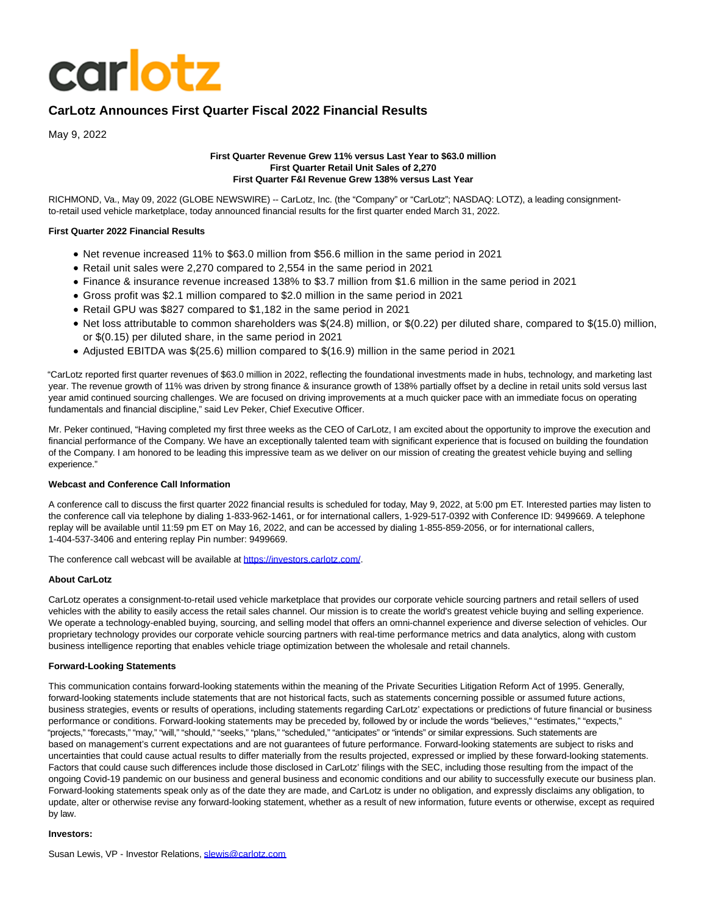# **carlotz**

## **CarLotz Announces First Quarter Fiscal 2022 Financial Results**

May 9, 2022

#### **First Quarter Revenue Grew 11% versus Last Year to \$63.0 million First Quarter Retail Unit Sales of 2,270 First Quarter F&I Revenue Grew 138% versus Last Year**

RICHMOND, Va., May 09, 2022 (GLOBE NEWSWIRE) -- CarLotz, Inc. (the "Company" or "CarLotz"; NASDAQ: LOTZ), a leading consignmentto-retail used vehicle marketplace, today announced financial results for the first quarter ended March 31, 2022.

## **First Quarter 2022 Financial Results**

- Net revenue increased 11% to \$63.0 million from \$56.6 million in the same period in 2021
- Retail unit sales were 2,270 compared to 2,554 in the same period in 2021
- Finance & insurance revenue increased 138% to \$3.7 million from \$1.6 million in the same period in 2021
- Gross profit was \$2.1 million compared to \$2.0 million in the same period in 2021
- Retail GPU was \$827 compared to \$1,182 in the same period in 2021
- Net loss attributable to common shareholders was \$(24.8) million, or \$(0.22) per diluted share, compared to \$(15.0) million, or \$(0.15) per diluted share, in the same period in 2021
- Adjusted EBITDA was \$(25.6) million compared to \$(16.9) million in the same period in 2021

"CarLotz reported first quarter revenues of \$63.0 million in 2022, reflecting the foundational investments made in hubs, technology, and marketing last year. The revenue growth of 11% was driven by strong finance & insurance growth of 138% partially offset by a decline in retail units sold versus last year amid continued sourcing challenges. We are focused on driving improvements at a much quicker pace with an immediate focus on operating fundamentals and financial discipline," said Lev Peker, Chief Executive Officer.

Mr. Peker continued, "Having completed my first three weeks as the CEO of CarLotz, I am excited about the opportunity to improve the execution and financial performance of the Company. We have an exceptionally talented team with significant experience that is focused on building the foundation of the Company. I am honored to be leading this impressive team as we deliver on our mission of creating the greatest vehicle buying and selling experience."

## **Webcast and Conference Call Information**

A conference call to discuss the first quarter 2022 financial results is scheduled for today, May 9, 2022, at 5:00 pm ET. Interested parties may listen to the conference call via telephone by dialing 1-833-962-1461, or for international callers, 1-929-517-0392 with Conference ID: 9499669. A telephone replay will be available until 11:59 pm ET on May 16, 2022, and can be accessed by dialing 1-855-859-2056, or for international callers, 1-404-537-3406 and entering replay Pin number: 9499669.

The conference call webcast will be available a[t https://investors.carlotz.com/.](https://www.globenewswire.com/Tracker?data=tYwQFcjL89PexOiJAgM_2_vFtPDE8q-Jsff-JFSNVKa5TKWokLvuci-F4XYe67ovL7pVF3PEO5HcFiwYNleCvUFNCwpABllRAYWtwCzZifGRl5Osz2DYV0HPORdBGRkq)

## **About CarLotz**

CarLotz operates a consignment-to-retail used vehicle marketplace that provides our corporate vehicle sourcing partners and retail sellers of used vehicles with the ability to easily access the retail sales channel. Our mission is to create the world's greatest vehicle buying and selling experience. We operate a technology-enabled buying, sourcing, and selling model that offers an omni-channel experience and diverse selection of vehicles. Our proprietary technology provides our corporate vehicle sourcing partners with real-time performance metrics and data analytics, along with custom business intelligence reporting that enables vehicle triage optimization between the wholesale and retail channels.

## **Forward-Looking Statements**

This communication contains forward-looking statements within the meaning of the Private Securities Litigation Reform Act of 1995. Generally, forward-looking statements include statements that are not historical facts, such as statements concerning possible or assumed future actions, business strategies, events or results of operations, including statements regarding CarLotz' expectations or predictions of future financial or business performance or conditions. Forward-looking statements may be preceded by, followed by or include the words "believes," "estimates," "expects," "projects," "forecasts," "may," "will," "should," "seeks," "plans," "scheduled," "anticipates" or "intends" or similar expressions. Such statements are based on management's current expectations and are not guarantees of future performance. Forward-looking statements are subject to risks and uncertainties that could cause actual results to differ materially from the results projected, expressed or implied by these forward-looking statements. Factors that could cause such differences include those disclosed in CarLotz' filings with the SEC, including those resulting from the impact of the ongoing Covid-19 pandemic on our business and general business and economic conditions and our ability to successfully execute our business plan. Forward-looking statements speak only as of the date they are made, and CarLotz is under no obligation, and expressly disclaims any obligation, to update, alter or otherwise revise any forward-looking statement, whether as a result of new information, future events or otherwise, except as required by law.

#### **Investors:**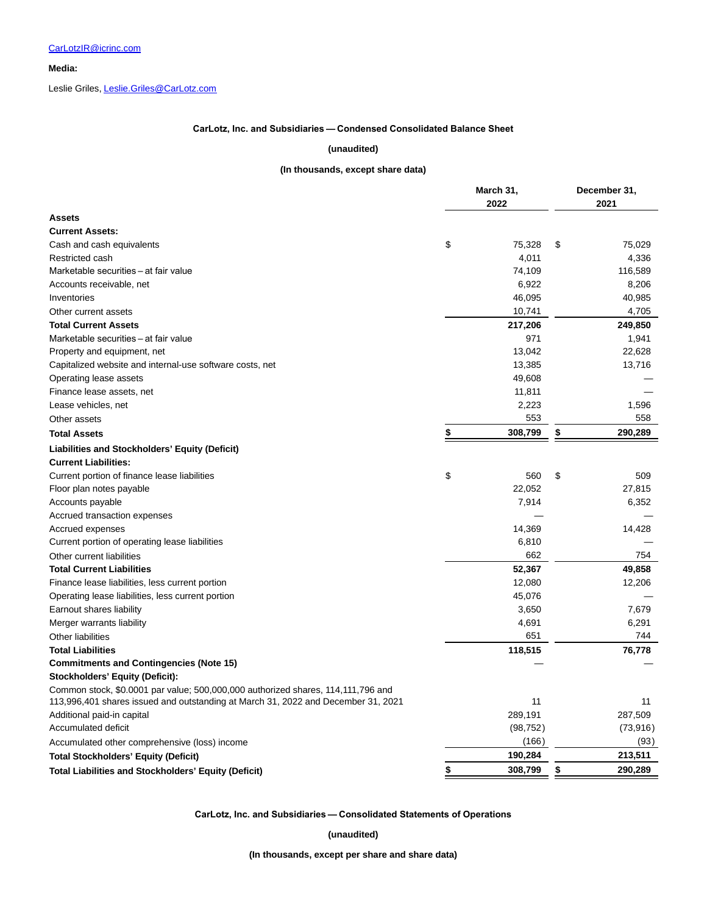**Media:**

Leslie Griles[, Leslie.Griles@CarLotz.com](https://www.globenewswire.com/Tracker?data=mewV5sMwr-El48yw0AT3mb_6-KbfkQyqY-DlYLTWAzYRnQKuflqs6noy1LOY7LbwLlWz-iTbyofMnvRZrPUhFDCKloPQtHFJ9StGlddydAw=)

#### **CarLotz, Inc. and Subsidiaries — Condensed Consolidated Balance Sheet**

#### **(unaudited)**

#### **(In thousands, except share data)**

|                                                                                                                                                                       | March 31,     | December 31, |           |  |
|-----------------------------------------------------------------------------------------------------------------------------------------------------------------------|---------------|--------------|-----------|--|
|                                                                                                                                                                       | 2022          |              | 2021      |  |
| <b>Assets</b>                                                                                                                                                         |               |              |           |  |
| <b>Current Assets:</b>                                                                                                                                                |               |              |           |  |
| Cash and cash equivalents                                                                                                                                             | \$<br>75,328  | \$           | 75,029    |  |
| Restricted cash                                                                                                                                                       | 4,011         |              | 4,336     |  |
| Marketable securities - at fair value                                                                                                                                 | 74,109        |              | 116,589   |  |
| Accounts receivable, net                                                                                                                                              | 6,922         |              | 8,206     |  |
| Inventories                                                                                                                                                           | 46,095        |              | 40,985    |  |
| Other current assets                                                                                                                                                  | 10,741        |              | 4,705     |  |
| <b>Total Current Assets</b>                                                                                                                                           | 217,206       |              | 249,850   |  |
| Marketable securities - at fair value                                                                                                                                 | 971           |              | 1,941     |  |
| Property and equipment, net                                                                                                                                           | 13,042        |              | 22,628    |  |
| Capitalized website and internal-use software costs, net                                                                                                              | 13,385        |              | 13,716    |  |
| Operating lease assets                                                                                                                                                | 49,608        |              |           |  |
| Finance lease assets, net                                                                                                                                             | 11,811        |              |           |  |
| Lease vehicles, net                                                                                                                                                   | 2,223         |              | 1,596     |  |
| Other assets                                                                                                                                                          | 553           |              | 558       |  |
| <b>Total Assets</b>                                                                                                                                                   | \$<br>308,799 | \$           | 290,289   |  |
| Liabilities and Stockholders' Equity (Deficit)                                                                                                                        |               |              |           |  |
| <b>Current Liabilities:</b>                                                                                                                                           |               |              |           |  |
| Current portion of finance lease liabilities                                                                                                                          | \$<br>560     | \$           | 509       |  |
| Floor plan notes payable                                                                                                                                              | 22,052        |              | 27,815    |  |
| Accounts payable                                                                                                                                                      | 7,914         |              | 6,352     |  |
| Accrued transaction expenses                                                                                                                                          |               |              |           |  |
| Accrued expenses                                                                                                                                                      | 14,369        |              | 14,428    |  |
| Current portion of operating lease liabilities                                                                                                                        | 6,810         |              |           |  |
| Other current liabilities                                                                                                                                             | 662           |              | 754       |  |
| <b>Total Current Liabilities</b>                                                                                                                                      | 52,367        |              | 49,858    |  |
| Finance lease liabilities, less current portion                                                                                                                       | 12,080        |              | 12,206    |  |
| Operating lease liabilities, less current portion                                                                                                                     | 45,076        |              |           |  |
| Earnout shares liability                                                                                                                                              | 3,650         |              | 7,679     |  |
| Merger warrants liability                                                                                                                                             | 4,691         |              | 6,291     |  |
| <b>Other liabilities</b>                                                                                                                                              | 651           |              | 744       |  |
| <b>Total Liabilities</b>                                                                                                                                              | 118,515       |              | 76,778    |  |
| <b>Commitments and Contingencies (Note 15)</b>                                                                                                                        |               |              |           |  |
| <b>Stockholders' Equity (Deficit):</b>                                                                                                                                |               |              |           |  |
| Common stock, \$0.0001 par value; 500,000,000 authorized shares, 114,111,796 and<br>113,996,401 shares issued and outstanding at March 31, 2022 and December 31, 2021 | 11            |              | 11        |  |
| Additional paid-in capital                                                                                                                                            | 289,191       |              | 287,509   |  |
| Accumulated deficit                                                                                                                                                   | (98, 752)     |              | (73, 916) |  |
|                                                                                                                                                                       | (166)         |              | (93)      |  |
| Accumulated other comprehensive (loss) income                                                                                                                         | 190,284       |              | 213,511   |  |
| <b>Total Stockholders' Equity (Deficit)</b>                                                                                                                           |               |              |           |  |
| <b>Total Liabilities and Stockholders' Equity (Deficit)</b>                                                                                                           | \$<br>308,799 | \$           | 290,289   |  |

**CarLotz, Inc. and Subsidiaries — Consolidated Statements of Operations**

**(unaudited)**

**(In thousands, except per share and share data)**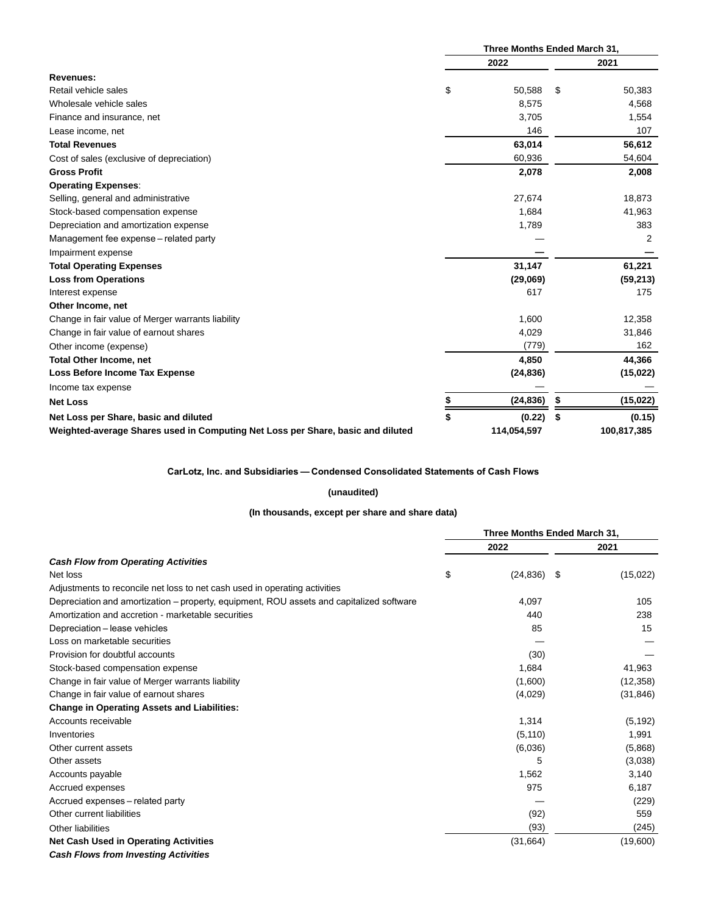|                                                                                 | Three Months Ended March 31, |             |      |             |  |
|---------------------------------------------------------------------------------|------------------------------|-------------|------|-------------|--|
|                                                                                 |                              | 2022        | 2021 |             |  |
| <b>Revenues:</b>                                                                |                              |             |      |             |  |
| Retail vehicle sales                                                            | \$                           | 50,588      | S    | 50,383      |  |
| Wholesale vehicle sales                                                         |                              | 8,575       |      | 4,568       |  |
| Finance and insurance, net                                                      |                              | 3,705       |      | 1,554       |  |
| Lease income, net                                                               |                              | 146         |      | 107         |  |
| <b>Total Revenues</b>                                                           |                              | 63,014      |      | 56,612      |  |
| Cost of sales (exclusive of depreciation)                                       |                              | 60,936      |      | 54,604      |  |
| <b>Gross Profit</b>                                                             |                              | 2,078       |      | 2,008       |  |
| <b>Operating Expenses:</b>                                                      |                              |             |      |             |  |
| Selling, general and administrative                                             |                              | 27,674      |      | 18,873      |  |
| Stock-based compensation expense                                                |                              | 1,684       |      | 41,963      |  |
| Depreciation and amortization expense                                           |                              | 1,789       |      | 383         |  |
| Management fee expense – related party                                          |                              |             |      | 2           |  |
| Impairment expense                                                              |                              |             |      |             |  |
| <b>Total Operating Expenses</b>                                                 |                              | 31,147      |      | 61,221      |  |
| <b>Loss from Operations</b>                                                     |                              | (29,069)    |      | (59, 213)   |  |
| Interest expense                                                                |                              | 617         |      | 175         |  |
| Other Income, net                                                               |                              |             |      |             |  |
| Change in fair value of Merger warrants liability                               |                              | 1,600       |      | 12,358      |  |
| Change in fair value of earnout shares                                          |                              | 4,029       |      | 31,846      |  |
| Other income (expense)                                                          |                              | (779)       |      | 162         |  |
| <b>Total Other Income, net</b>                                                  |                              | 4,850       |      | 44,366      |  |
| <b>Loss Before Income Tax Expense</b>                                           |                              | (24, 836)   |      | (15, 022)   |  |
| Income tax expense                                                              |                              |             |      |             |  |
| <b>Net Loss</b>                                                                 | \$                           | (24, 836)   | \$   | (15, 022)   |  |
| Net Loss per Share, basic and diluted                                           | \$                           | (0.22)      | \$   | (0.15)      |  |
| Weighted-average Shares used in Computing Net Loss per Share, basic and diluted |                              | 114,054,597 |      | 100,817,385 |  |

#### **CarLotz, Inc. and Subsidiaries — Condensed Consolidated Statements of Cash Flows**

#### **(unaudited)**

#### **(In thousands, except per share and share data)**

|                                                                                          | Three Months Ended March 31, |  |           |  |
|------------------------------------------------------------------------------------------|------------------------------|--|-----------|--|
|                                                                                          | 2022                         |  | 2021      |  |
| <b>Cash Flow from Operating Activities</b>                                               |                              |  |           |  |
| Net loss                                                                                 | \$<br>$(24, 836)$ \$         |  | (15,022)  |  |
| Adjustments to reconcile net loss to net cash used in operating activities               |                              |  |           |  |
| Depreciation and amortization – property, equipment, ROU assets and capitalized software | 4,097                        |  | 105       |  |
| Amortization and accretion - marketable securities                                       | 440                          |  | 238       |  |
| Depreciation - lease vehicles                                                            | 85                           |  | 15        |  |
| Loss on marketable securities                                                            |                              |  |           |  |
| Provision for doubtful accounts                                                          | (30)                         |  |           |  |
| Stock-based compensation expense                                                         | 1,684                        |  | 41,963    |  |
| Change in fair value of Merger warrants liability                                        | (1,600)                      |  | (12, 358) |  |
| Change in fair value of earnout shares                                                   | (4,029)                      |  | (31, 846) |  |
| <b>Change in Operating Assets and Liabilities:</b>                                       |                              |  |           |  |
| Accounts receivable                                                                      | 1,314                        |  | (5, 192)  |  |
| Inventories                                                                              | (5, 110)                     |  | 1,991     |  |
| Other current assets                                                                     | (6,036)                      |  | (5,868)   |  |
| Other assets                                                                             | 5                            |  | (3,038)   |  |
| Accounts payable                                                                         | 1,562                        |  | 3,140     |  |
| Accrued expenses                                                                         | 975                          |  | 6.187     |  |
| Accrued expenses - related party                                                         |                              |  | (229)     |  |
| Other current liabilities                                                                | (92)                         |  | 559       |  |
| Other liabilities                                                                        | (93)                         |  | (245)     |  |
| <b>Net Cash Used in Operating Activities</b>                                             | (31,664)                     |  | (19,600)  |  |
| <b>Cash Flows from Investing Activities</b>                                              |                              |  |           |  |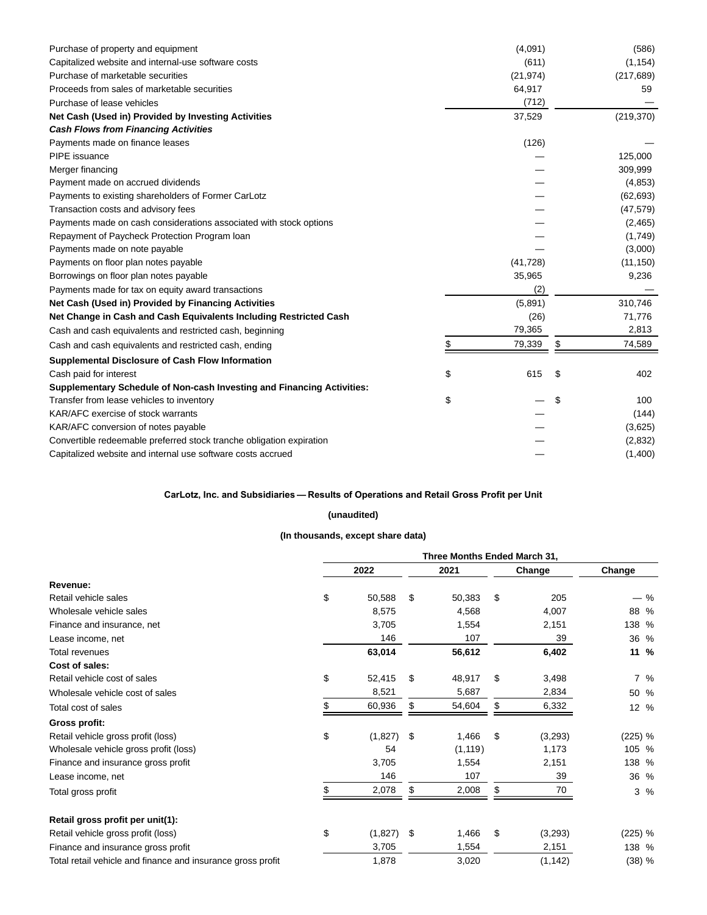| Purchase of property and equipment                                     | (4,091)      | (586)        |
|------------------------------------------------------------------------|--------------|--------------|
| Capitalized website and internal-use software costs                    | (611)        | (1, 154)     |
| Purchase of marketable securities                                      | (21, 974)    | (217, 689)   |
| Proceeds from sales of marketable securities                           | 64,917       | 59           |
| Purchase of lease vehicles                                             | (712)        |              |
| Net Cash (Used in) Provided by Investing Activities                    | 37,529       | (219, 370)   |
| <b>Cash Flows from Financing Activities</b>                            |              |              |
| Payments made on finance leases                                        | (126)        |              |
| PIPE issuance                                                          |              | 125,000      |
| Merger financing                                                       |              | 309,999      |
| Payment made on accrued dividends                                      |              | (4,853)      |
| Payments to existing shareholders of Former CarLotz                    |              | (62, 693)    |
| Transaction costs and advisory fees                                    |              | (47, 579)    |
| Payments made on cash considerations associated with stock options     |              | (2,465)      |
| Repayment of Paycheck Protection Program Ioan                          |              | (1,749)      |
| Payments made on note payable                                          |              | (3,000)      |
| Payments on floor plan notes payable                                   | (41, 728)    | (11, 150)    |
| Borrowings on floor plan notes payable                                 | 35,965       | 9,236        |
| Payments made for tax on equity award transactions                     | (2)          |              |
| Net Cash (Used in) Provided by Financing Activities                    | (5,891)      | 310,746      |
| Net Change in Cash and Cash Equivalents Including Restricted Cash      | (26)         | 71,776       |
| Cash and cash equivalents and restricted cash, beginning               | 79,365       | 2,813        |
| Cash and cash equivalents and restricted cash, ending                  | \$<br>79,339 | \$<br>74,589 |
| <b>Supplemental Disclosure of Cash Flow Information</b>                |              |              |
| Cash paid for interest                                                 | \$<br>615    | \$<br>402    |
| Supplementary Schedule of Non-cash Investing and Financing Activities: |              |              |
| Transfer from lease vehicles to inventory                              | \$           | \$<br>100    |
| KAR/AFC exercise of stock warrants                                     |              | (144)        |
| KAR/AFC conversion of notes payable                                    |              | (3,625)      |
| Convertible redeemable preferred stock tranche obligation expiration   |              | (2,832)      |
| Capitalized website and internal use software costs accrued            |              | (1,400)      |

## **CarLotz, Inc. and Subsidiaries — Results of Operations and Retail Gross Profit per Unit**

## **(unaudited)**

## **(In thousands, except share data)**

|                                                             | Three Months Ended March 31, |         |    |          |    |          |         |       |
|-------------------------------------------------------------|------------------------------|---------|----|----------|----|----------|---------|-------|
|                                                             |                              | 2022    |    | 2021     |    | Change   | Change  |       |
| Revenue:                                                    |                              |         |    |          |    |          |         |       |
| Retail vehicle sales                                        | \$                           | 50,588  | \$ | 50,383   | \$ | 205      |         | %     |
| Wholesale vehicle sales                                     |                              | 8,575   |    | 4,568    |    | 4,007    | 88 %    |       |
| Finance and insurance, net                                  |                              | 3,705   |    | 1,554    |    | 2,151    | 138 %   |       |
| Lease income, net                                           |                              | 146     |    | 107      |    | 39       | 36 %    |       |
| <b>Total revenues</b>                                       |                              | 63,014  |    | 56,612   |    | 6,402    | 11 %    |       |
| Cost of sales:                                              |                              |         |    |          |    |          |         |       |
| Retail vehicle cost of sales                                | \$                           | 52,415  | \$ | 48,917   | \$ | 3,498    |         | 7%    |
| Wholesale vehicle cost of sales                             |                              | 8,521   |    | 5,687    |    | 2,834    | 50 %    |       |
| Total cost of sales                                         | \$                           | 60,936  | \$ | 54,604   | \$ | 6,332    | 12 %    |       |
| Gross profit:                                               |                              |         |    |          |    |          |         |       |
| Retail vehicle gross profit (loss)                          | \$                           | (1,827) | \$ | 1,466    | \$ | (3,293)  | (225) % |       |
| Wholesale vehicle gross profit (loss)                       |                              | 54      |    | (1, 119) |    | 1,173    | 105 %   |       |
| Finance and insurance gross profit                          |                              | 3,705   |    | 1,554    |    | 2,151    | 138 %   |       |
| Lease income, net                                           |                              | 146     |    | 107      |    | 39       | 36 %    |       |
| Total gross profit                                          | \$                           | 2,078   | \$ | 2,008    | S. | 70       |         | $3\%$ |
| Retail gross profit per unit(1):                            |                              |         |    |          |    |          |         |       |
| Retail vehicle gross profit (loss)                          | \$                           | (1,827) | \$ | 1,466    | \$ | (3,293)  | (225) % |       |
| Finance and insurance gross profit                          |                              | 3,705   |    | 1,554    |    | 2,151    | 138 %   |       |
| Total retail vehicle and finance and insurance gross profit |                              | 1,878   |    | 3,020    |    | (1, 142) | (38) %  |       |